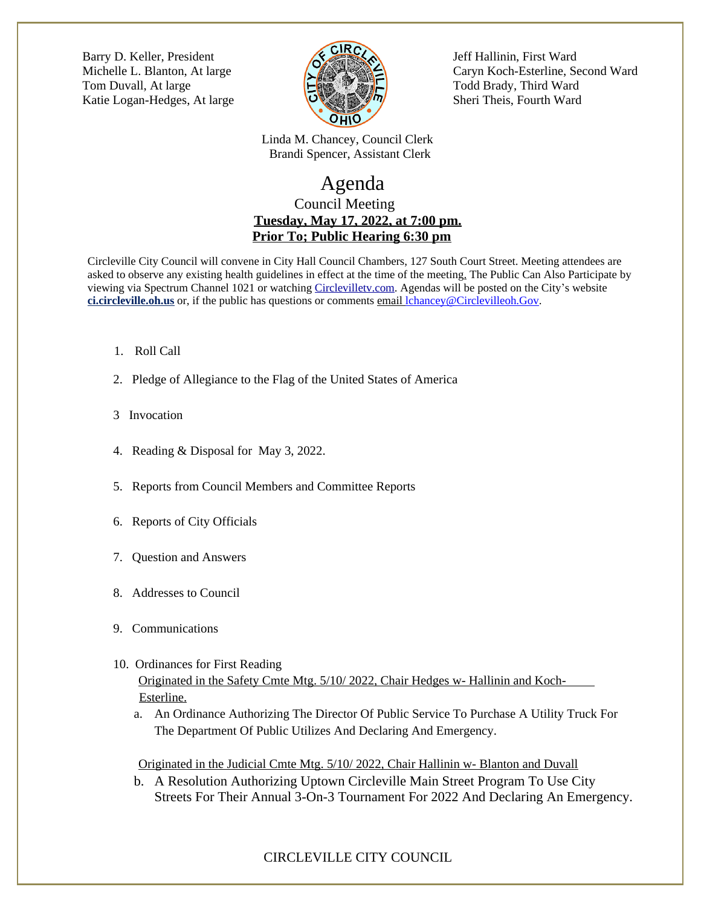[Barry D. Keller, President Jeff Hallinin, First Ward](http://jrliston.wix.com/chartercommision) Tom Duvall, At large  $\Box$  Todd Brady, Third Ward Katie Logan-Hedges, At large  $\bigcup_{\alpha} \bigotimes_{\alpha} \bigotimes_{\beta} \bigotimes_{\beta} \bigcap$  Sheri Theis, Fourth Ward



[Michelle L. Blanton, At large Caryn Koch-Esterline, Second Ward](http://jrliston.wix.com/chartercommision)

 [Linda M. Chancey, Council Clerk](http://jrliston.wix.com/chartercommision)  [Brandi Spencer, Assistant Clerk](http://jrliston.wix.com/chartercommision)

## [Agenda](http://jrliston.wix.com/chartercommision) [Council Meeting](http://jrliston.wix.com/chartercommision)  **[Tuesday, May 17, 2022, at 7:00 pm.](http://jrliston.wix.com/chartercommision) [Prior To; Public Hearing 6:30 pm](http://jrliston.wix.com/chartercommision)**

[Circleville City Council will convene in City Hall Council Chambers, 127 South Court Street. Meeting attendees are](http://jrliston.wix.com/chartercommision)  [asked to observe any existing health guidelines in effect at the time of the meeting. The Public Can Also Participate by](http://jrliston.wix.com/chartercommision) [viewing via Spectrum Channel 1021 or watching](http://jrliston.wix.com/chartercommision) [Circlevilletv.com.](mailto:Circleville@viebit.com) Agendas will be posted on the City's website **ci.circleville.oh.us** or, if the public has questions or comments email [lchancey@Circlevilleoh.Gov.](mailto:lchancey@Circlevilleoh.Gov)

- 1. Roll Call
- 2. Pledge of Allegiance to the Flag of the United States of America
- 3 Invocation
- 4. Reading & Disposal for May 3, 2022.
- 5. Reports from Council Members and Committee Reports
- 6. Reports of City Officials
- 7. Question and Answers
- 8. Addresses to Council
- 9. Communications
- 10. Ordinances for First Reading Originated in the Safety Cmte Mtg. 5/10/ 2022, Chair Hedges w- Hallinin and Koch-Esterline.
	- a. An Ordinance Authorizing The Director Of Public Service To Purchase A Utility Truck For The Department Of Public Utilizes And Declaring And Emergency.

Originated in the Judicial Cmte Mtg. 5/10/ 2022, Chair Hallinin w- Blanton and Duvall

b. A Resolution Authorizing Uptown Circleville Main Street Program To Use City Streets For Their Annual 3-On-3 Tournament For 2022 And Declaring An Emergency.

## CIRCLEVILLE CITY COUNCIL